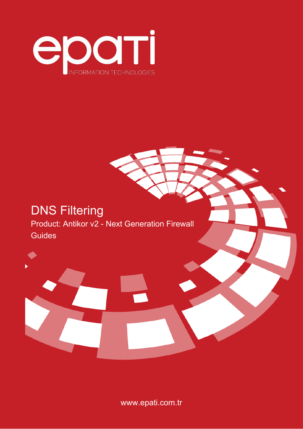

# DNS Filtering Product: Antikor v2 - Next Generation Firewall Guides



www.epati.com.tr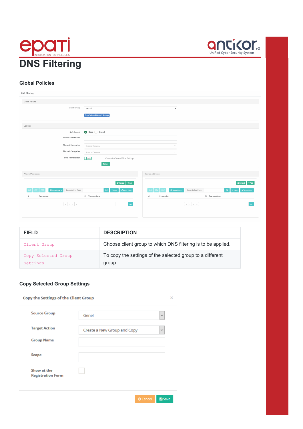



#### **Global Policies**

| <b>DNS Filtering</b>                                                                                                          |                                                                                                                       |                                                                                 |                                                                                                 |                                                                 |
|-------------------------------------------------------------------------------------------------------------------------------|-----------------------------------------------------------------------------------------------------------------------|---------------------------------------------------------------------------------|-------------------------------------------------------------------------------------------------|-----------------------------------------------------------------|
| Global Policies                                                                                                               |                                                                                                                       |                                                                                 |                                                                                                 |                                                                 |
| Client Group                                                                                                                  | Genel<br><b>Copy Selected Group's Settings</b>                                                                        | $\boldsymbol{\mathrm{v}}$                                                       |                                                                                                 |                                                                 |
| Settings                                                                                                                      |                                                                                                                       |                                                                                 |                                                                                                 |                                                                 |
| Safe Search<br><b>Active Time Period</b><br><b>Allowed Categories</b><br><b>Blocked Categories</b><br><b>DNS Tunnel Block</b> | Open Closed<br>Select a Category<br>Select a Category<br>Passive<br>Customize Tunnel Filter Settings<br><b>E</b> Save | $\overline{\phantom{a}}$<br>$\forall$                                           |                                                                                                 |                                                                 |
| Allowed Addresses                                                                                                             |                                                                                                                       | <b>Blocked Addresses</b>                                                        |                                                                                                 |                                                                 |
| Records Per Page<br><b>CSV</b><br>$\blacksquare$ Show/Hide $\star$<br>PDF<br>Expression<br>$\#$<br>$\ll -<$ $>$ $ >$          | $+$ Add<br><b>C</b> Reload<br>OK<br><b>T</b> Filter $\blacksquare$ Reset Filter<br>Li Transactions<br>Go              | $\blacksquare$ Show/Hide $\star$<br>XLS<br><b>CSV</b><br>PDF<br>Expression<br># | Records Per Page<br>Li Transactions<br>$\ll$ $\mid$ $\leftarrow$ $\mid$ $>$ $\mid$ $\mid$ $\gg$ | $+$ Add<br>$\mathcal C$ Reload<br>OK TFilter Reset Filter<br>Go |

| <b>FIELD</b>                    | <b>DESCRIPTION</b>                                                  |
|---------------------------------|---------------------------------------------------------------------|
| Client Group                    | Choose client group to which DNS filtering is to be applied.        |
| Copy Selected Group<br>Settings | To copy the settings of the selected group to a different<br>group. |

# **Copy Selected Group Settings**

|                                         | <b>Copy the Settings of the Client Group</b> |              |  |  |  |
|-----------------------------------------|----------------------------------------------|--------------|--|--|--|
| <b>Source Group</b>                     | Genel                                        | $\checkmark$ |  |  |  |
| <b>Target Action</b>                    | Create a New Group and Copy                  | $\checkmark$ |  |  |  |
| <b>Group Name</b>                       |                                              |              |  |  |  |
| <b>Scope</b>                            |                                              |              |  |  |  |
| Show at the<br><b>Registration Form</b> |                                              |              |  |  |  |
|                                         |                                              |              |  |  |  |

O Cancel **B** Save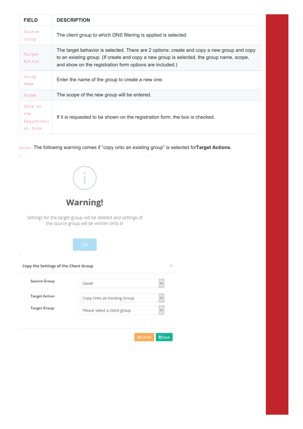| <b>FIELD</b>                            | <b>DESCRIPTION</b>                                                                                                                                                                                                                                  |
|-----------------------------------------|-----------------------------------------------------------------------------------------------------------------------------------------------------------------------------------------------------------------------------------------------------|
| Source<br>Group                         | The client group to which DNS filtering is applied is selected.                                                                                                                                                                                     |
| Target<br>Action                        | The target behavior is selected. There are 2 options: create and copy a new group and copy<br>to an existing group. (If create and copy a new group is selected, the group name, scope,<br>and show on the registration form options are included.) |
| Group<br>Name                           | Enter the name of the group to create a new one.                                                                                                                                                                                                    |
| Scope                                   | The scope of the new group will be entered.                                                                                                                                                                                                         |
| Show at<br>the<br>Registrati<br>on Form | If it is requested to be shown on the registration form, the box is checked.                                                                                                                                                                        |

Note: The following warning comes if "copy onto an existing group" is selected for**Target Actions**.

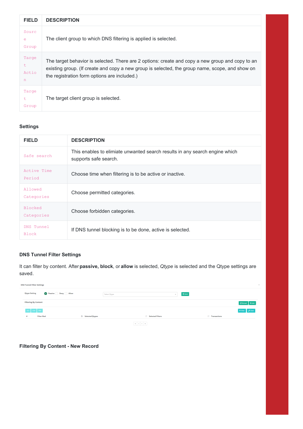| <b>FIELD</b>              | <b>DESCRIPTION</b>                                                                                                                                                                                                                                  |
|---------------------------|-----------------------------------------------------------------------------------------------------------------------------------------------------------------------------------------------------------------------------------------------------|
| Sourc<br>е<br>Group       | The client group to which DNS filtering is applied is selected.                                                                                                                                                                                     |
| Targe<br>t.<br>Actio<br>n | The target behavior is selected. There are 2 options: create and copy a new group and copy to an<br>existing group. (If create and copy a new group is selected, the group name, scope, and show on<br>the registration form options are included.) |
| Targe<br>t.<br>Group      | The target client group is selected.                                                                                                                                                                                                                |

## **Settings**

| <b>FIELD</b>                 | <b>DESCRIPTION</b>                                                                                   |
|------------------------------|------------------------------------------------------------------------------------------------------|
| Safe search                  | This enables to elimiate unwanted search results in any search engine which<br>supports safe search. |
| Active Time<br>Period        | Choose time when filtering is to be active or inactive.                                              |
| Allowed<br>Categories        | Choose permitted categories.                                                                         |
| <b>Blocked</b><br>Categories | Choose forbidden categories.                                                                         |
| DNS Tunnel<br><b>Block</b>   | If DNS tunnel blocking is to be done, active is selected.                                            |

# **DNS Tunnel Filter Settings**

It can filter by content. After **passive, block**, or **allow** is selected, *Qtype* is selected and the Qtype settings are saved.

| <b>DNS Tunnel Filter Settings</b> |                    |                           |                                                                                          |                         |                  |                     | $\lambda$                          |
|-----------------------------------|--------------------|---------------------------|------------------------------------------------------------------------------------------|-------------------------|------------------|---------------------|------------------------------------|
| <b>Qtype Setting</b>              | Passive Deny Allow |                           | Select Qtype                                                                             |                         | 图 Save<br>$\sim$ |                     |                                    |
| <b>Filtering By Content</b>       |                    |                           |                                                                                          |                         |                  |                     | $\bigcirc$ Reload + Add            |
| $XLS$ $CSV$ $PDF$                 |                    |                           |                                                                                          |                         |                  |                     | $\top$ Filter $\parallel$ of Clear |
| <b>Filter Mod</b>                 |                    | <b>JE</b> Selected Qtypes |                                                                                          | <b>Selected Filters</b> |                  | <b>Transactions</b> |                                    |
|                                   |                    |                           | $\left\  \mathbf{c} \right\  \left\  \mathbf{c} \right\  \left\  \mathbf{c} \right\ $ in |                         |                  |                     |                                    |

**Filtering By Content - New Record**